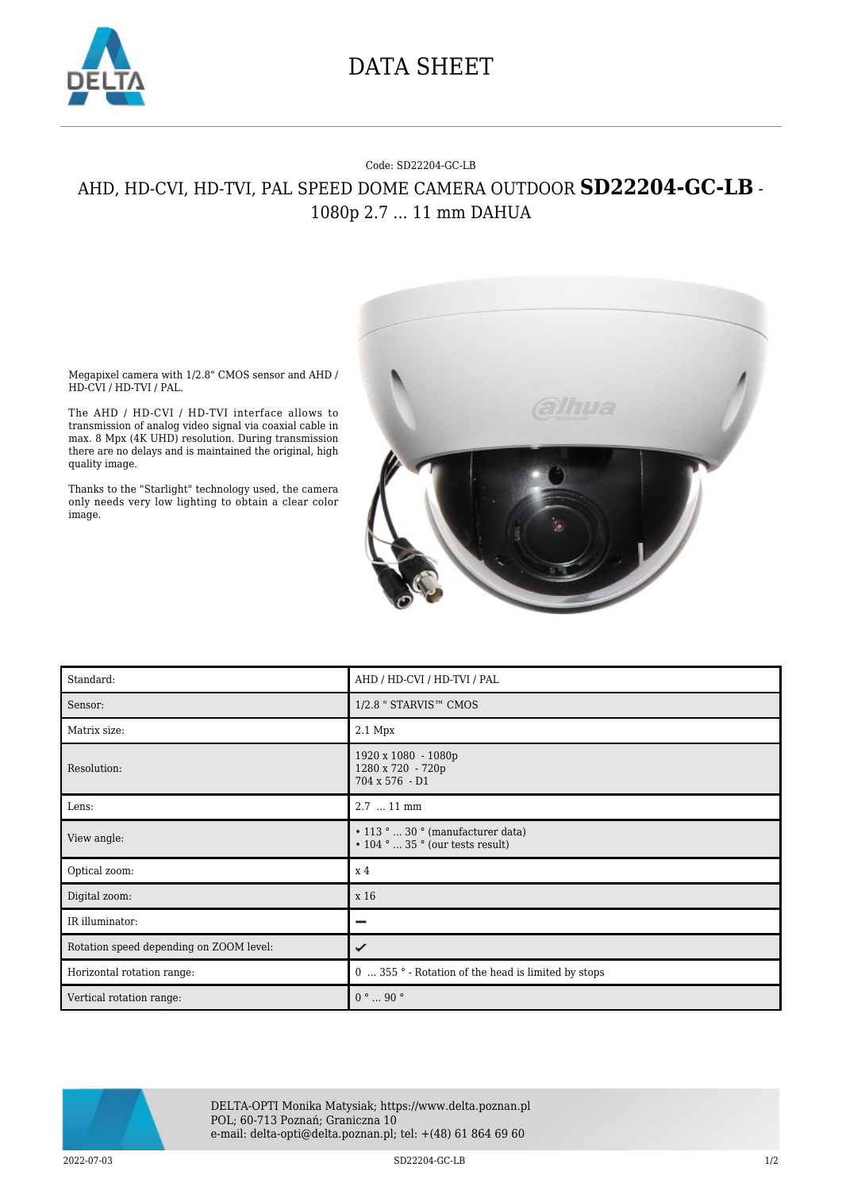

## DATA SHEET

## Code: SD22204-GC-LB AHD, HD-CVI, HD-TVI, PAL SPEED DOME CAMERA OUTDOOR **SD22204-GC-LB** - 1080p 2.7 ... 11 mm DAHUA



Megapixel camera with 1/2.8" CMOS sensor and AHD / HD-CVI / HD-TVI / PAL.

The AHD / HD-CVI / HD-TVI interface allows to transmission of analog video signal via coaxial cable in max. 8 Mpx (4K UHD) resolution. During transmission there are no delays and is maintained the original, high quality image.

Thanks to the "Starlight" technology used, the camera only needs very low lighting to obtain a clear color image.

| Standard:                               | AHD / HD-CVI / HD-TVI / PAL                                                       |
|-----------------------------------------|-----------------------------------------------------------------------------------|
| Sensor:                                 | 1/2.8 " STARVIS™ CMOS                                                             |
| Matrix size:                            | 2.1 Mpx                                                                           |
| Resolution:                             | 1920 x 1080 - 1080p<br>1280 x 720 - 720p<br>704 x 576 - D1                        |
| Lens:                                   | 2.7  11 mm                                                                        |
| View angle:                             | $\cdot$ 113 °  30 ° (manufacturer data)<br>$\cdot$ 104 °  35 ° (our tests result) |
| Optical zoom:                           | x 4                                                                               |
| Digital zoom:                           | x 16                                                                              |
| IR illuminator:                         | -                                                                                 |
| Rotation speed depending on ZOOM level: | ✓                                                                                 |
| Horizontal rotation range:              | 0  355 ° - Rotation of the head is limited by stops                               |
| Vertical rotation range:                | $0° \dots 90°$                                                                    |



DELTA-OPTI Monika Matysiak; https://www.delta.poznan.pl POL; 60-713 Poznań; Graniczna 10 e-mail: delta-opti@delta.poznan.pl; tel: +(48) 61 864 69 60

2022-07-03 SD22204-GC-LB 1/2